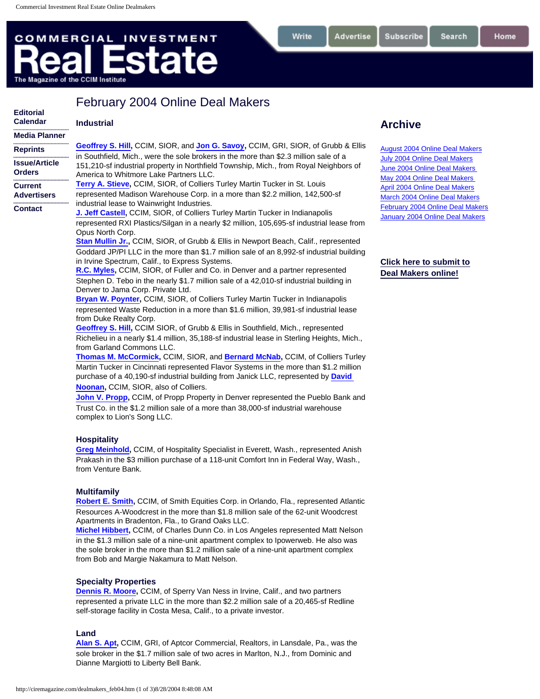# <span id="page-0-0"></span>**COMMERCIAL INVESTMENT** ate The Magazine of the CCIM Institute

| <b>Editorial</b>                         | I GUIUDI Y ZUUT UIIIIIG DEAI MANGIS                                                                                                                                                                                                                                                                                                                                                                                                                                                                                                                                                                                                                                                                                                                                                                                                                                                                                                                                                                                                                                                                                                                                                                                                                                                                                                                                                                                                                                       |
|------------------------------------------|---------------------------------------------------------------------------------------------------------------------------------------------------------------------------------------------------------------------------------------------------------------------------------------------------------------------------------------------------------------------------------------------------------------------------------------------------------------------------------------------------------------------------------------------------------------------------------------------------------------------------------------------------------------------------------------------------------------------------------------------------------------------------------------------------------------------------------------------------------------------------------------------------------------------------------------------------------------------------------------------------------------------------------------------------------------------------------------------------------------------------------------------------------------------------------------------------------------------------------------------------------------------------------------------------------------------------------------------------------------------------------------------------------------------------------------------------------------------------|
| <b>Calendar</b>                          | <b>Industrial</b>                                                                                                                                                                                                                                                                                                                                                                                                                                                                                                                                                                                                                                                                                                                                                                                                                                                                                                                                                                                                                                                                                                                                                                                                                                                                                                                                                                                                                                                         |
| <br><b>Media Planner</b>                 |                                                                                                                                                                                                                                                                                                                                                                                                                                                                                                                                                                                                                                                                                                                                                                                                                                                                                                                                                                                                                                                                                                                                                                                                                                                                                                                                                                                                                                                                           |
| <br><b>Reprints</b><br>                  | Geoffrey S. Hill, CCIM, SIOR, and Jon G. Savoy, CCIM, GRI, SIOR, of Grubb & Ellis<br>in Southfield. Mich., were the sole brokers in the more than \$2.3 million sale of a                                                                                                                                                                                                                                                                                                                                                                                                                                                                                                                                                                                                                                                                                                                                                                                                                                                                                                                                                                                                                                                                                                                                                                                                                                                                                                 |
| <b>Issue/Article</b><br><b>Orders</b>    | 151,210-sf industrial property in Northfield Township, Mich., from Royal Neighbors of<br>America to Whitmore Lake Partners LLC.                                                                                                                                                                                                                                                                                                                                                                                                                                                                                                                                                                                                                                                                                                                                                                                                                                                                                                                                                                                                                                                                                                                                                                                                                                                                                                                                           |
| <b>Current</b><br><b>Advertisers</b><br> | Terry A. Stieve, CCIM, SIOR, of Colliers Turley Martin Tucker in St. Louis<br>represented Madison Warehouse Corp. in a more than \$2.2 million, 142,500-sf<br>industrial lease to Wainwright Industries.                                                                                                                                                                                                                                                                                                                                                                                                                                                                                                                                                                                                                                                                                                                                                                                                                                                                                                                                                                                                                                                                                                                                                                                                                                                                  |
| <b>Contact</b>                           | J. Jeff Castell, CCIM, SIOR, of Colliers Turley Martin Tucker in Indianapolis<br>represented RXI Plastics/Silgan in a nearly \$2 million, 105,695-sf industrial lease from<br>Opus North Corp.<br>Stan Mullin Jr., CCIM, SIOR, of Grubb & Ellis in Newport Beach, Calif., represented<br>Goddard JP/PI LLC in the more than \$1.7 million sale of an 8,992-sf industrial building<br>in Irvine Spectrum, Calif., to Express Systems.<br>R.C. Myles, CCIM, SIOR, of Fuller and Co. in Denver and a partner represented<br>Stephen D. Tebo in the nearly \$1.7 million sale of a 42,010-sf industrial building in<br>Denver to Jama Corp. Private Ltd.<br>Bryan W. Poynter, CCIM, SIOR, of Colliers Turley Martin Tucker in Indianapolis<br>represented Waste Reduction in a more than \$1.6 million, 39,981-sf industrial lease<br>from Duke Realty Corp.<br>Geoffrey S. Hill, CCIM SIOR, of Grubb & Ellis in Southfield, Mich., represented<br>Richelieu in a nearly \$1.4 million, 35,188-sf industrial lease in Sterling Heights, Mich.,<br>from Garland Commons LLC.<br>Thomas M. McCormick, CCIM, SIOR, and Bernard McNab, CCIM, of Colliers Turley<br>Martin Tucker in Cincinnati represented Flavor Systems in the more than \$1.2 million<br>purchase of a 40,190-sf industrial building from Janick LLC, represented by David<br><b>Noonan, CCIM, SIOR, also of Colliers.</b><br>John V. Propp, CCIM, of Propp Property in Denver represented the Pueblo Bank and |

February 2004 Online Deal Makers

Trust Co. in the \$1.2 million sale of a more than 38,000-sf industrial warehouse complex to Lion's Song LLC.

## **Hospitality**

**[Greg Meinhold,](http://popeye.cciminstitute.com/rbp/detail_search.asp?member_id=6614326)** CCIM, of Hospitality Specialist in Everett, Wash., represented Anish Prakash in the \$3 million purchase of a 118-unit Comfort Inn in Federal Way, Wash., from Venture Bank.

## **Multifamily**

**[Robert E. Smith](http://popeye.cciminstitute.com/rbp/detail_search.asp?member_id=6258903),** CCIM, of Smith Equities Corp. in Orlando, Fla., represented Atlantic Resources A-Woodcrest in the more than \$1.8 million sale of the 62-unit Woodcrest Apartments in Bradenton, Fla., to Grand Oaks LLC.

**[Michel Hibbert,](http://popeye.cciminstitute.com/rbp/detail_search.asp?member_id=6614116)** CCIM, of Charles Dunn Co. in Los Angeles represented Matt Nelson in the \$1.3 million sale of a nine-unit apartment complex to Ipowerweb. He also was the sole broker in the more than \$1.2 million sale of a nine-unit apartment complex from Bob and Margie Nakamura to Matt Nelson.

### **Specialty Properties**

**[Dennis R. Moore](http://popeye.cciminstitute.com/rbp/detail_search.asp?member_id=6626643),** CCIM, of Sperry Van Ness in Irvine, Calif., and two partners represented a private LLC in the more than \$2.2 million sale of a 20,465-sf Redline self-storage facility in Costa Mesa, Calif., to a private investor.

#### **Land**

**[Alan S. Apt](http://popeye.cciminstitute.com/rbp/detail_search.asp?member_id=6173282),** CCIM, GRI, of Aptcor Commercial, Realtors, in Lansdale, Pa., was the sole broker in the \$1.7 million sale of two acres in Marlton, N.J., from Dominic and Dianne Margiotti to Liberty Bell Bank.

# **Archive**

**Subscribe** 

Write

Advertise

[August 2004 Online Deal Makers](http://ciremagazine.com/dealmakers_aug04.htm) [July 2004 Online Deal Makers](http://ciremagazine.com/dealmakers_Jul04.htm) [June 2004 Online Deal Makers](http://ciremagazine.com/dealmakers_Jun04.htm) [May 2004 Online Deal Makers](http://ciremagazine.com/dealmakers_May04.htm) [April 2004 Online Deal Makers](http://ciremagazine.com/dealmakers_apr04.htm) [March 2004 Online Deal Makers](http://ciremagazine.com/dealmakers_mar04.htm) [February 2004 Online Deal Makers](#page-0-0) [January 2004 Online Deal Makers](http://ciremagazine.com/dealmakers_jan04.htm)

**[Click here to submit to](http://ciremagazine.com/dealmakers.html) [Deal Makers online!](http://ciremagazine.com/dealmakers.html)** 

Search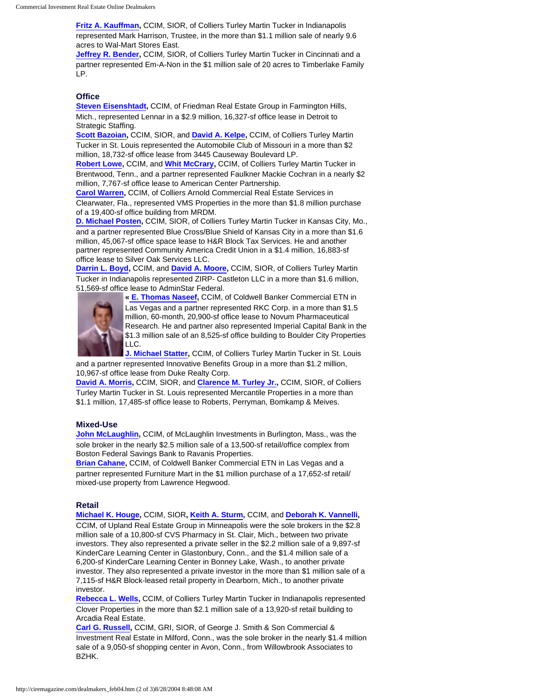**[Fritz A. Kauffman,](http://popeye.cciminstitute.com/rbp/detail_search.asp?member_id=6255847)** CCIM, SIOR, of Colliers Turley Martin Tucker in Indianapolis represented Mark Harrison, Trustee, in the more than \$1.1 million sale of nearly 9.6 acres to Wal-Mart Stores East.

**[Jeffrey R. Bender,](http://popeye.cciminstitute.com/rbp/detail_search.asp?member_id=6604807) CCIM, SIOR, of Colliers Turley Martin Tucker in Cincinnati and a** partner represented Em-A-Non in the \$1 million sale of 20 acres to Timberlake Family LP.

## **Office**

**[Steven Eisenshtadt,](http://popeye.cciminstitute.com/rbp/detail_search.asp?member_id=6473862)** CCIM, of Friedman Real Estate Group in Farmington Hills, Mich., represented Lennar in a \$2.9 million, 16,327-sf office lease in Detroit to Strategic Staffing.

**[Scott Bazoian](http://popeye.cciminstitute.com/rbp/detail_search.asp?member_id=6255976),** CCIM, SIOR, and **[David A. Kelpe](http://popeye.cciminstitute.com/rbp/detail_search.asp?member_id=6618041),** CCIM, of Colliers Turley Martin Tucker in St. Louis represented the Automobile Club of Missouri in a more than \$2 million, 18,732-sf office lease from 3445 Causeway Boulevard LP.

**[Robert Lowe,](http://popeye.cciminstitute.com/rbp/detail_search.asp?member_id=6619522)** CCIM, and **[Whit McCrary,](http://popeye.cciminstitute.com/rbp/detail_search.asp?member_id=6611272)** CCIM, of Colliers Turley Martin Tucker in Brentwood, Tenn., and a partner represented Faulkner Mackie Cochran in a nearly \$2 million, 7,767-sf office lease to American Center Partnership.

**[Carol Warren,](http://popeye.cciminstitute.com/rbp/detail_search.asp?member_id=6179561)** CCIM, of Colliers Arnold Commercial Real Estate Services in Clearwater, Fla., represented VMS Properties in the more than \$1.8 million purchase of a 19,400-sf office building from MRDM.

**[D. Michael Posten](http://popeye.cciminstitute.com/rbp/detail_search.asp?member_id=6505980),** CCIM, SIOR, of Colliers Turley Martin Tucker in Kansas City, Mo., and a partner represented Blue Cross/Blue Shield of Kansas City in a more than \$1.6 million, 45,067-sf office space lease to H&R Block Tax Services. He and another partner represented Community America Credit Union in a \$1.4 million, 16,883-sf office lease to Silver Oak Services LLC.

**[Darrin L. Boyd,](http://popeye.cciminstitute.com/rbp/detail_search.asp?member_id=6395851)** CCIM, and **[David A. Moore](http://popeye.cciminstitute.com/rbp/detail_search.asp?member_id=6508784),** CCIM, SIOR, of Colliers Turley Martin Tucker in Indianapolis represented ZIRP- Castleton LLC in a more than \$1.6 million, [51,569-sf offic](http://popeye.cciminstitute.com/rbp/detail_search.asp?member_id=6314405)e lease to AdminStar Federal.



**« [E. Thomas Naseef,](http://popeye.cciminstitute.com/rbp/detail_search.asp?member_id=6314405)** CCIM, of Coldwell Banker Commercial ETN in Las Vegas and a partner represented RKC Corp. in a more than \$1.5 million, 60-month, 20,900-sf office lease to Novum Pharmaceutical Research. He and partner also represented Imperial Capital Bank in the \$1.3 million sale of an 8,525-sf office building to Boulder City Properties LLC.

**[J. Michael Statter](http://popeye.cciminstitute.com/rbp/detail_search.asp?member_id=6634542),** CCIM, of Colliers Turley Martin Tucker in St. Louis and a partner represented Innovative Benefits Group in a more than \$1.2 million, 10,967-sf office lease from Duke Realty Corp.

**[David A. Morris,](http://popeye.cciminstitute.com/rbp/detail_search.asp?member_id=6395890)** CCIM, SIOR, and **[Clarence M. Turley Jr.,](http://popeye.cciminstitute.com/rbp/detail_search.asp?member_id=5591301)** CCIM, SIOR, of Colliers Turley Martin Tucker in St. Louis represented Mercantile Properties in a more than \$1.1 million, 17,485-sf office lease to Roberts, Perryman, Bomkamp & Meives.

#### **Mixed-Use**

**[John McLaughlin](http://popeye.cciminstitute.com/rbp/detail_search.asp?member_id=6258591),** CCIM, of McLaughlin Investments in Burlington, Mass., was the sole broker in the nearly \$2.5 million sale of a 13,500-sf retail/office complex from Boston Federal Savings Bank to Ravanis Properties.

**[Brian Cahane,](http://popeye.cciminstitute.com/rbp/detail_search.asp?member_id=6633426)** CCIM, of Coldwell Banker Commercial ETN in Las Vegas and a partner represented Furniture Mart in the \$1 million purchase of a 17,652-sf retail/ mixed-use property from Lawrence Hegwood.

#### **Retail**

**[Michael K. Houge](http://popeye.cciminstitute.com/rbp/detail_search.asp?member_id=6445364),** CCIM, SIOR**, [Keith A. Sturm,](http://popeye.cciminstitute.com/rbp/detail_search.asp?member_id=6314067)** CCIM, and **[Deborah K. Vannelli,](http://popeye.cciminstitute.com/rbp/detail_search.asp?member_id=6620007)**  CCIM, of Upland Real Estate Group in Minneapolis were the sole brokers in the \$2.8 million sale of a 10,800-sf CVS Pharmacy in St. Clair, Mich., between two private investors. They also represented a private seller in the \$2.2 million sale of a 9,897-sf KinderCare Learning Center in Glastonbury, Conn., and the \$1.4 million sale of a 6,200-sf KinderCare Learning Center in Bonney Lake, Wash., to another private investor. They also represented a private investor in the more than \$1 million sale of a 7,115-sf H&R Block-leased retail property in Dearborn, Mich., to another private investor.

**[Rebecca L. Wells,](http://popeye.cciminstitute.com/rbp/detail_search.asp?member_id=6645218)** CCIM, of Colliers Turley Martin Tucker in Indianapolis represented Clover Properties in the more than \$2.1 million sale of a 13,920-sf retail building to Arcadia Real Estate.

**[Carl G. Russell,](http://popeye.cciminstitute.com/rbp/detail_search.asp?member_id=4730366)** CCIM, GRI, SIOR, of George J. Smith & Son Commercial & Investment Real Estate in Milford, Conn., was the sole broker in the nearly \$1.4 million sale of a 9,050-sf shopping center in Avon, Conn., from Willowbrook Associates to BZHK.